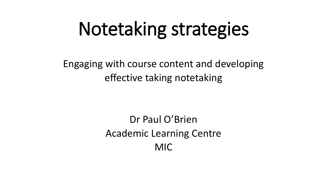# Notetaking strategies

Engaging with course content and developing effective taking notetaking

> Dr Paul O'Brien Academic Learning Centre MIC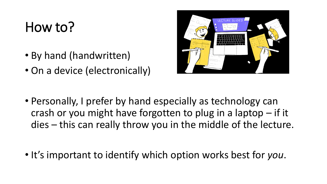### How to?

- By hand (handwritten)
- On a device (electronically)



• Personally, I prefer by hand especially as technology can crash or you might have forgotten to plug in a laptop – if it dies – this can really throw you in the middle of the lecture.

• It's important to identify which option works best for *you*.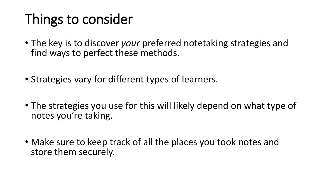## Things to consider

- The key is to discover *your* preferred notetaking strategies and find ways to perfect these methods.
- Strategies vary for different types of learners.
- The strategies you use for this will likely depend on what type of notes you're taking.
- Make sure to keep track of all the places you took notes and store them securely.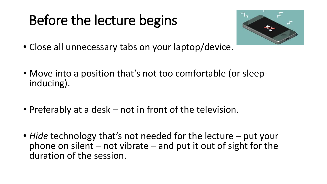# Before the lecture begins



- Close all unnecessary tabs on your laptop/device.
- Move into a position that's not too comfortable (or sleepinducing).
- Preferably at a desk not in front of the television.
- *Hide* technology that's not needed for the lecture put your phone on silent – not vibrate – and put it out of sight for the duration of the session.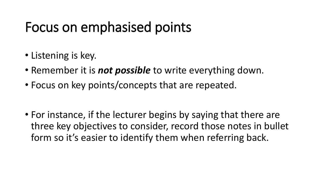### Focus on emphasised points

- Listening is key.
- Remember it is *not possible* to write everything down.
- Focus on key points/concepts that are repeated.

• For instance, if the lecturer begins by saying that there are three key objectives to consider, record those notes in bullet form so it's easier to identify them when referring back.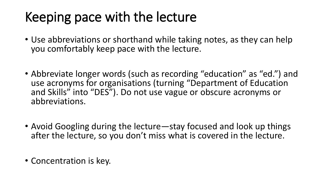## Keeping pace with the lecture

- Use abbreviations or shorthand while taking notes, as they can help you comfortably keep pace with the lecture.
- Abbreviate longer words (such as recording "education" as "ed.") and use acronyms for organisations (turning "Department of Education and Skills" into "DES"). Do not use vague or obscure acronyms or abbreviations.
- Avoid Googling during the lecture—stay focused and look up things after the lecture, so you don't miss what is covered in the lecture.
- Concentration is key.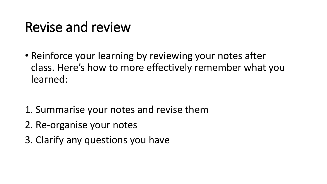#### Revise and review

• Reinforce your learning by reviewing your notes after class. Here's how to more effectively remember what you learned:

- 1. Summarise your notes and revise them
- 2. Re-organise your notes
- 3. Clarify any questions you have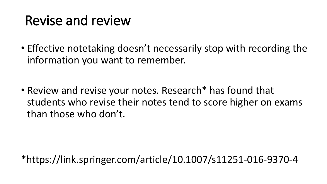#### Revise and review

• Effective notetaking doesn't necessarily stop with recording the information you want to remember.

• Review and revise your notes. Research\* has found that students who revise their notes tend to score higher on exams than those who don't.

\*https://link.springer.com/article/10.1007/s11251-016-9370-4